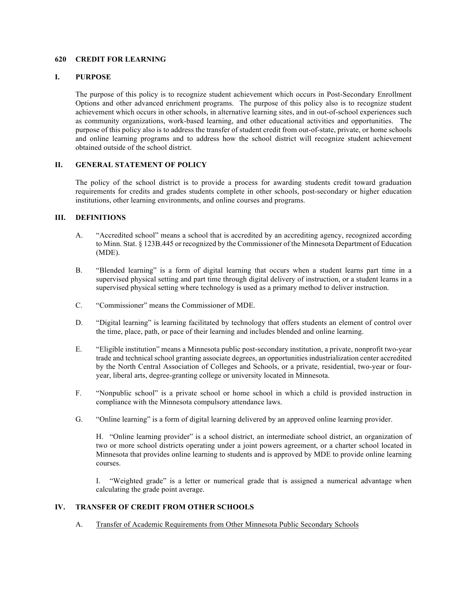#### **620 CREDIT FOR LEARNING**

#### **I. PURPOSE**

The purpose of this policy is to recognize student achievement which occurs in Post-Secondary Enrollment Options and other advanced enrichment programs. The purpose of this policy also is to recognize student achievement which occurs in other schools, in alternative learning sites, and in out-of-school experiences such as community organizations, work-based learning, and other educational activities and opportunities. The purpose of this policy also is to address the transfer of student credit from out-of-state, private, or home schools and online learning programs and to address how the school district will recognize student achievement obtained outside of the school district.

### **II. GENERAL STATEMENT OF POLICY**

The policy of the school district is to provide a process for awarding students credit toward graduation requirements for credits and grades students complete in other schools, post-secondary or higher education institutions, other learning environments, and online courses and programs.

### **III. DEFINITIONS**

- A. "Accredited school" means a school that is accredited by an accrediting agency, recognized according to Minn. Stat. § 123B.445 or recognized by the Commissioner of the Minnesota Department of Education (MDE).
- B. "Blended learning" is a form of digital learning that occurs when a student learns part time in a supervised physical setting and part time through digital delivery of instruction, or a student learns in a supervised physical setting where technology is used as a primary method to deliver instruction.
- C. "Commissioner" means the Commissioner of MDE.
- D. "Digital learning" is learning facilitated by technology that offers students an element of control over the time, place, path, or pace of their learning and includes blended and online learning.
- E. "Eligible institution" means a Minnesota public post-secondary institution, a private, nonprofit two-year trade and technical school granting associate degrees, an opportunities industrialization center accredited by the North Central Association of Colleges and Schools, or a private, residential, two-year or fouryear, liberal arts, degree-granting college or university located in Minnesota.
- F. "Nonpublic school" is a private school or home school in which a child is provided instruction in compliance with the Minnesota compulsory attendance laws.
- G. "Online learning" is a form of digital learning delivered by an approved online learning provider.

H. "Online learning provider" is a school district, an intermediate school district, an organization of two or more school districts operating under a joint powers agreement, or a charter school located in Minnesota that provides online learning to students and is approved by MDE to provide online learning courses.

I. "Weighted grade" is a letter or numerical grade that is assigned a numerical advantage when calculating the grade point average.

## **IV. TRANSFER OF CREDIT FROM OTHER SCHOOLS**

A. Transfer of Academic Requirements from Other Minnesota Public Secondary Schools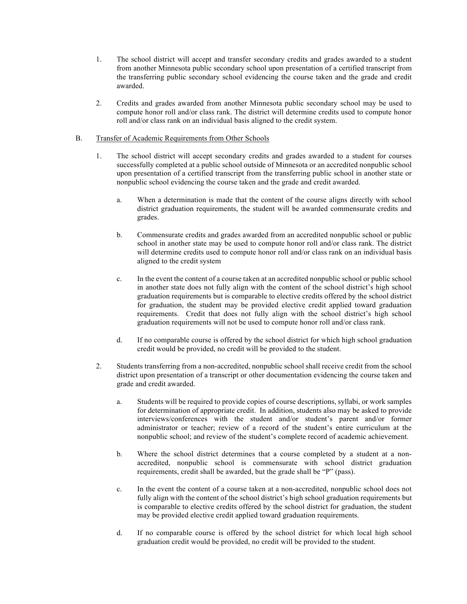- 1. The school district will accept and transfer secondary credits and grades awarded to a student from another Minnesota public secondary school upon presentation of a certified transcript from the transferring public secondary school evidencing the course taken and the grade and credit awarded.
- 2. Credits and grades awarded from another Minnesota public secondary school may be used to compute honor roll and/or class rank. The district will determine credits used to compute honor roll and/or class rank on an individual basis aligned to the credit system.

# B. Transfer of Academic Requirements from Other Schools

- 1. The school district will accept secondary credits and grades awarded to a student for courses successfully completed at a public school outside of Minnesota or an accredited nonpublic school upon presentation of a certified transcript from the transferring public school in another state or nonpublic school evidencing the course taken and the grade and credit awarded.
	- a. When a determination is made that the content of the course aligns directly with school district graduation requirements, the student will be awarded commensurate credits and grades.
	- b. Commensurate credits and grades awarded from an accredited nonpublic school or public school in another state may be used to compute honor roll and/or class rank. The district will determine credits used to compute honor roll and/or class rank on an individual basis aligned to the credit system
	- c. In the event the content of a course taken at an accredited nonpublic school or public school in another state does not fully align with the content of the school district's high school graduation requirements but is comparable to elective credits offered by the school district for graduation, the student may be provided elective credit applied toward graduation requirements. Credit that does not fully align with the school district's high school graduation requirements will not be used to compute honor roll and/or class rank.
	- d. If no comparable course is offered by the school district for which high school graduation credit would be provided, no credit will be provided to the student.
- 2. Students transferring from a non-accredited, nonpublic school shall receive credit from the school district upon presentation of a transcript or other documentation evidencing the course taken and grade and credit awarded.
	- a. Students will be required to provide copies of course descriptions, syllabi, or work samples for determination of appropriate credit. In addition, students also may be asked to provide interviews/conferences with the student and/or student's parent and/or former administrator or teacher; review of a record of the student's entire curriculum at the nonpublic school; and review of the student's complete record of academic achievement.
	- b. Where the school district determines that a course completed by a student at a nonaccredited, nonpublic school is commensurate with school district graduation requirements, credit shall be awarded, but the grade shall be "P" (pass).
	- c. In the event the content of a course taken at a non-accredited, nonpublic school does not fully align with the content of the school district's high school graduation requirements but is comparable to elective credits offered by the school district for graduation, the student may be provided elective credit applied toward graduation requirements.
	- d. If no comparable course is offered by the school district for which local high school graduation credit would be provided, no credit will be provided to the student.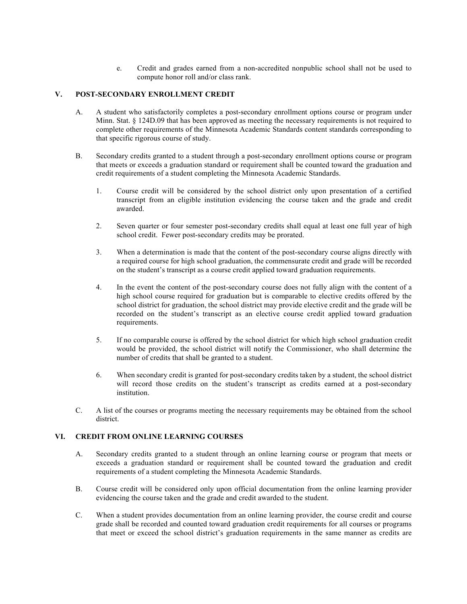e. Credit and grades earned from a non-accredited nonpublic school shall not be used to compute honor roll and/or class rank.

## **V. POST-SECONDARY ENROLLMENT CREDIT**

- A. A student who satisfactorily completes a post-secondary enrollment options course or program under Minn. Stat. § 124D.09 that has been approved as meeting the necessary requirements is not required to complete other requirements of the Minnesota Academic Standards content standards corresponding to that specific rigorous course of study.
- B. Secondary credits granted to a student through a post-secondary enrollment options course or program that meets or exceeds a graduation standard or requirement shall be counted toward the graduation and credit requirements of a student completing the Minnesota Academic Standards.
	- 1. Course credit will be considered by the school district only upon presentation of a certified transcript from an eligible institution evidencing the course taken and the grade and credit awarded.
	- 2. Seven quarter or four semester post-secondary credits shall equal at least one full year of high school credit. Fewer post-secondary credits may be prorated.
	- 3. When a determination is made that the content of the post-secondary course aligns directly with a required course for high school graduation, the commensurate credit and grade will be recorded on the student's transcript as a course credit applied toward graduation requirements.
	- 4. In the event the content of the post-secondary course does not fully align with the content of a high school course required for graduation but is comparable to elective credits offered by the school district for graduation, the school district may provide elective credit and the grade will be recorded on the student's transcript as an elective course credit applied toward graduation requirements.
	- 5. If no comparable course is offered by the school district for which high school graduation credit would be provided, the school district will notify the Commissioner, who shall determine the number of credits that shall be granted to a student.
	- 6. When secondary credit is granted for post-secondary credits taken by a student, the school district will record those credits on the student's transcript as credits earned at a post-secondary institution.
- C. A list of the courses or programs meeting the necessary requirements may be obtained from the school district.

# **VI. CREDIT FROM ONLINE LEARNING COURSES**

- A. Secondary credits granted to a student through an online learning course or program that meets or exceeds a graduation standard or requirement shall be counted toward the graduation and credit requirements of a student completing the Minnesota Academic Standards.
- B. Course credit will be considered only upon official documentation from the online learning provider evidencing the course taken and the grade and credit awarded to the student.
- C. When a student provides documentation from an online learning provider, the course credit and course grade shall be recorded and counted toward graduation credit requirements for all courses or programs that meet or exceed the school district's graduation requirements in the same manner as credits are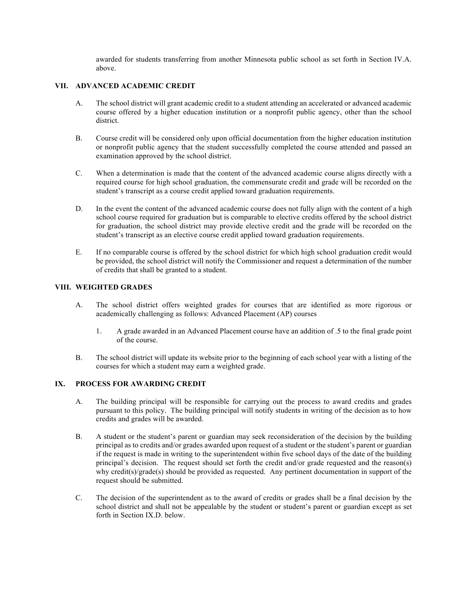awarded for students transferring from another Minnesota public school as set forth in Section IV.A. above.

## **VII. ADVANCED ACADEMIC CREDIT**

- A. The school district will grant academic credit to a student attending an accelerated or advanced academic course offered by a higher education institution or a nonprofit public agency, other than the school district.
- B. Course credit will be considered only upon official documentation from the higher education institution or nonprofit public agency that the student successfully completed the course attended and passed an examination approved by the school district.
- C. When a determination is made that the content of the advanced academic course aligns directly with a required course for high school graduation, the commensurate credit and grade will be recorded on the student's transcript as a course credit applied toward graduation requirements.
- D. In the event the content of the advanced academic course does not fully align with the content of a high school course required for graduation but is comparable to elective credits offered by the school district for graduation, the school district may provide elective credit and the grade will be recorded on the student's transcript as an elective course credit applied toward graduation requirements.
- E. If no comparable course is offered by the school district for which high school graduation credit would be provided, the school district will notify the Commissioner and request a determination of the number of credits that shall be granted to a student.

## **VIII. WEIGHTED GRADES**

- A. The school district offers weighted grades for courses that are identified as more rigorous or academically challenging as follows: Advanced Placement (AP) courses
	- 1. A grade awarded in an Advanced Placement course have an addition of .5 to the final grade point of the course.
- B. The school district will update its website prior to the beginning of each school year with a listing of the courses for which a student may earn a weighted grade.

## **IX. PROCESS FOR AWARDING CREDIT**

- A. The building principal will be responsible for carrying out the process to award credits and grades pursuant to this policy. The building principal will notify students in writing of the decision as to how credits and grades will be awarded.
- B. A student or the student's parent or guardian may seek reconsideration of the decision by the building principal as to credits and/or grades awarded upon request of a student or the student's parent or guardian if the request is made in writing to the superintendent within five school days of the date of the building principal's decision. The request should set forth the credit and/or grade requested and the reason(s) why credit(s)/grade(s) should be provided as requested. Any pertinent documentation in support of the request should be submitted.
- C. The decision of the superintendent as to the award of credits or grades shall be a final decision by the school district and shall not be appealable by the student or student's parent or guardian except as set forth in Section IX.D. below.